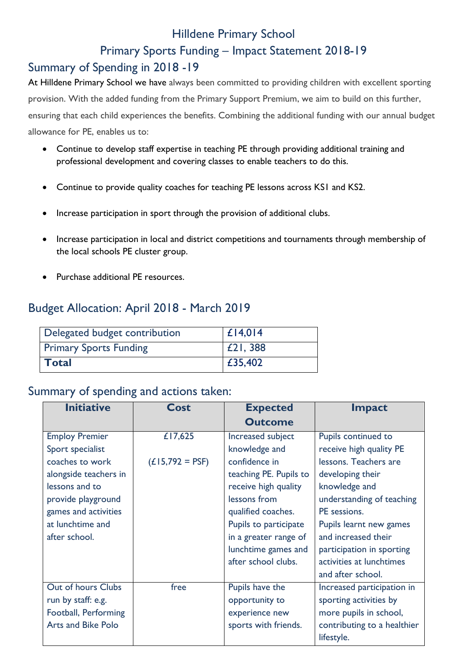## Hilldene Primary School

### Primary Sports Funding – Impact Statement 2018-19

# Summary of Spending in 2018 -19

At Hilldene Primary School we have always been committed to providing children with excellent sporting provision. With the added funding from the Primary Support Premium, we aim to build on this further, ensuring that each child experiences the benefits. Combining the additional funding with our annual budget allowance for PE, enables us to:

- Continue to develop staff expertise in teaching PE through providing additional training and professional development and covering classes to enable teachers to do this.
- Continue to provide quality coaches for teaching PE lessons across KS1 and KS2.
- Increase participation in sport through the provision of additional clubs.
- Increase participation in local and district competitions and tournaments through membership of the local schools PE cluster group.
- Purchase additional PE resources.

# Budget Allocation: April 2018 - March 2019

| Delegated budget contribution | $ £$ 14,014 |
|-------------------------------|-------------|
| <b>Primary Sports Funding</b> | £21, 388    |
| <b>Total</b>                  | £35,402     |

#### Summary of spending and actions taken:

| <b>Initiative</b>         | Cost              | <b>Expected</b>        | <b>Impact</b>               |
|---------------------------|-------------------|------------------------|-----------------------------|
|                           |                   | <b>Outcome</b>         |                             |
| <b>Employ Premier</b>     | £17,625           | Increased subject      | Pupils continued to         |
| Sport specialist          |                   | knowledge and          | receive high quality PE     |
| coaches to work           | $(L15,792 = PSF)$ | confidence in          | lessons. Teachers are       |
| alongside teachers in     |                   | teaching PE. Pupils to | developing their            |
| lessons and to            |                   | receive high quality   | knowledge and               |
| provide playground        |                   | lessons from           | understanding of teaching   |
| games and activities      |                   | qualified coaches.     | PE sessions.                |
| at lunchtime and          |                   | Pupils to participate  | Pupils learnt new games     |
| after school.             |                   | in a greater range of  | and increased their         |
|                           |                   | lunchtime games and    | participation in sporting   |
|                           |                   | after school clubs.    | activities at lunchtimes    |
|                           |                   |                        | and after school.           |
| Out of hours Clubs        | free              | Pupils have the        | Increased participation in  |
| run by staff: e.g.        |                   | opportunity to         | sporting activities by      |
| Football, Performing      |                   | experience new         | more pupils in school,      |
| <b>Arts and Bike Polo</b> |                   | sports with friends.   | contributing to a healthier |
|                           |                   |                        | lifestyle.                  |